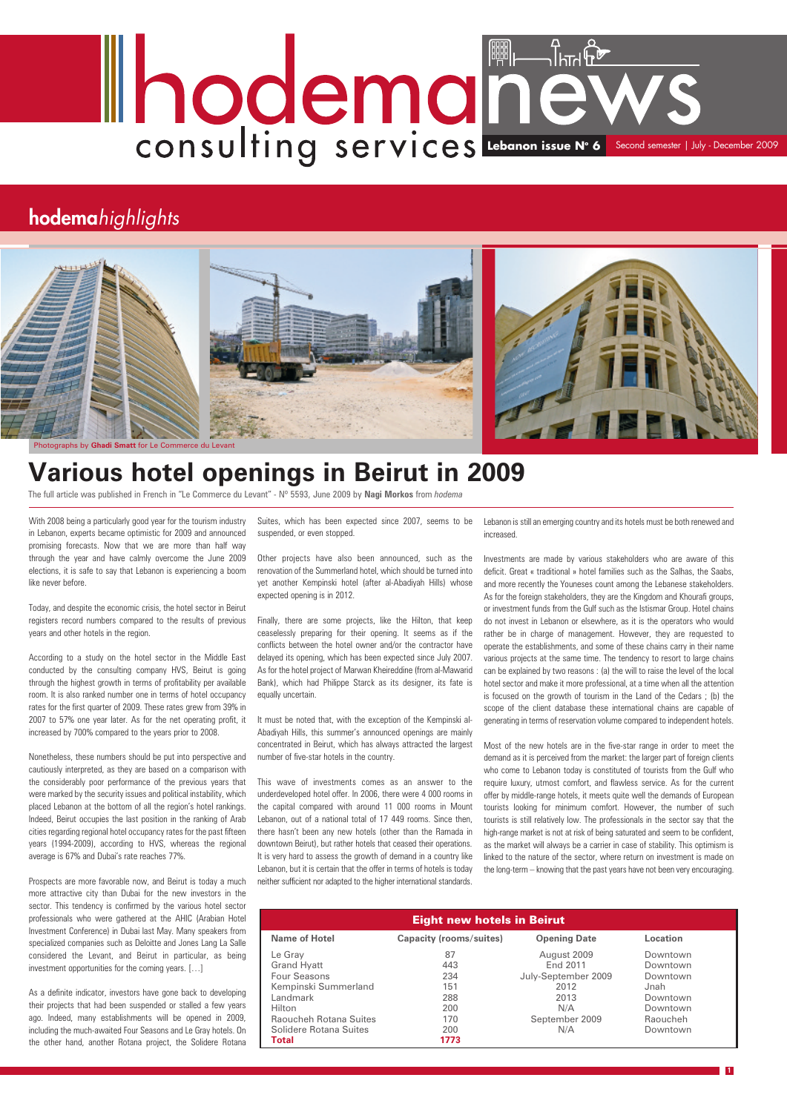With 2008 being a particularly good year for the tourism industry in Lebanon, experts became optimistic for 2009 and announced promising forecasts. Now that we are more than half way through the year and have calmly overcome the June 2009 elections, it is safe to say that Lebanon is experiencing a boom like never before.

Today, and despite the economic crisis, the hotel sector in Beirut registers record numbers compared to the results of previous years and other hotels in the region.

According to a study on the hotel sector in the Middle East conducted by the consulting company HVS, Beirut is going through the highest growth in terms of profitability per available room. It is also ranked number one in terms of hotel occupancy rates for the first quarter of 2009. These rates grew from 39% in 2007 to 57% one year later. As for the net operating profit, it increased by 700% compared to the years prior to 2008.

Nonetheless, these numbers should be put into perspective and cautiously interpreted, as they are based on a comparison with the considerably poor performance of the previous years that were marked by the security issues and political instability, which placed Lebanon at the bottom of all the region's hotel rankings. Indeed, Beirut occupies the last position in the ranking of Arab cities regarding regional hotel occupancy rates for the past fifteen

years (1994-2009), according to HVS, whereas the regional average is 67% and Dubai's rate reaches 77%.

Prospects are more favorable now, and Beirut is today a much more attractive city than Dubai for the new investors in the sector. This tendency is confirmed by the various hotel sector professionals who were gathered at the AHIC (Arabian Hotel Investment Conference) in Dubai last May. Many speakers from specialized companies such as Deloitte and Jones Lang La Salle considered the Levant, and Beirut in particular, as being investment opportunities for the coming years. […]

As a definite indicator, investors have gone back to developing their projects that had been suspended or stalled a few years ago. Indeed, many establishments will be opened in 2009, including the much-awaited Four Seasons and Le Gray hotels. On the other hand, another Rotana project, the Solidere Rotana

Suites, which has been expected since 2007, seems to be suspended, or even stopped.

Other projects have also been announced, such as the renovation of the Summerland hotel, which should be turned into yet another Kempinski hotel (after al-Abadiyah Hills) whose expected opening is in 2012.

Finally, there are some projects, like the Hilton, that keep ceaselessly preparing for their opening. It seems as if the conflicts between the hotel owner and/or the contractor have delayed its opening, which has been expected since July 2007. As for the hotel project of Marwan Kheireddine (from al-Mawarid Bank), which had Philippe Starck as its designer, its fate is equally uncertain.

It must be noted that, with the exception of the Kempinski al-Abadiyah Hills, this summer's announced openings are mainly concentrated in Beirut, which has always attracted the largest number of five-star hotels in the country.

This wave of investments comes as an answer to the underdeveloped hotel offer. In 2006, there were 4 000 rooms in the capital compared with around 11 000 rooms in Mount Lebanon, out of a national total of 17 449 rooms. Since then, there hasn't been any new hotels (other than the Ramada in downtown Beirut), but rather hotels that ceased their operations. It is very hard to assess the growth of demand in a country like Lebanon, but it is certain that the offer in terms of hotels is today neither sufficient nor adapted to the higher international standards.

# **Lebanon issue N° 6** Second semester | July - December 2009

## **hodema***highlights*

**1**



Photographs by **Ghadi Smatt** for Le Commerce du Levant

# **Various hotel openings in Beirut in 2009**

The full article was published in French in "Le Commerce du Levant" - Nº 5593, June 2009 by **Nagi Morkos** from *hodema*

| <b>Eight new hotels in Beirut</b> |                                |                     |          |
|-----------------------------------|--------------------------------|---------------------|----------|
| <b>Name of Hotel</b>              | <b>Capacity (rooms/suites)</b> | <b>Opening Date</b> | Location |
| Le Gray                           | 87                             | August 2009         | Downtown |
| <b>Grand Hyatt</b>                | 443                            | End 2011            | Downtown |
| Four Seasons                      | 234                            | July-September 2009 | Downtown |
| Kempinski Summerland              | 151                            | 2012                | Jnah     |
| Landmark                          | 288                            | 2013                | Downtown |
| Hilton                            | 200                            | N/A                 | Downtown |
| Raoucheh Rotana Suites            | 170                            | September 2009      | Raoucheh |
| Solidere Rotana Suites            | 200                            | N/A                 | Downtown |
| Total                             | 1773                           |                     |          |

Lebanon is still an emerging country and its hotels must be both renewed and increased.

Investments are made by various stakeholders who are aware of this deficit. Great « traditional » hotel families such as the Salhas, the Saabs, and more recently the Youneses count among the Lebanese stakeholders. As for the foreign stakeholders, they are the Kingdom and Khourafi groups, or investment funds from the Gulf such as the Istismar Group. Hotel chains do not invest in Lebanon or elsewhere, as it is the operators who would rather be in charge of management. However, they are requested to operate the establishments, and some of these chains carry in their name various projects at the same time. The tendency to resort to large chains can be explained by two reasons : (a) the will to raise the level of the local hotel sector and make it more professional, at a time when all the attention is focused on the growth of tourism in the Land of the Cedars ; (b) the scope of the client database these international chains are capable of generating in terms of reservation volume compared to independent hotels.

Most of the new hotels are in the five-star range in order to meet the demand as it is perceived from the market: the larger part of foreign clients who come to Lebanon today is constituted of tourists from the Gulf who require luxury, utmost comfort, and flawless service. As for the current offer by middle-range hotels, it meets quite well the demands of European tourists looking for minimum comfort. However, the number of such tourists is still relatively low. The professionals in the sector say that the high-range market is not at risk of being saturated and seem to be confident,

as the market will always be a carrier in case of stability. This optimism is linked to the nature of the sector, where return on investment is made on the long-term – knowing that the past years have not been very encouraging.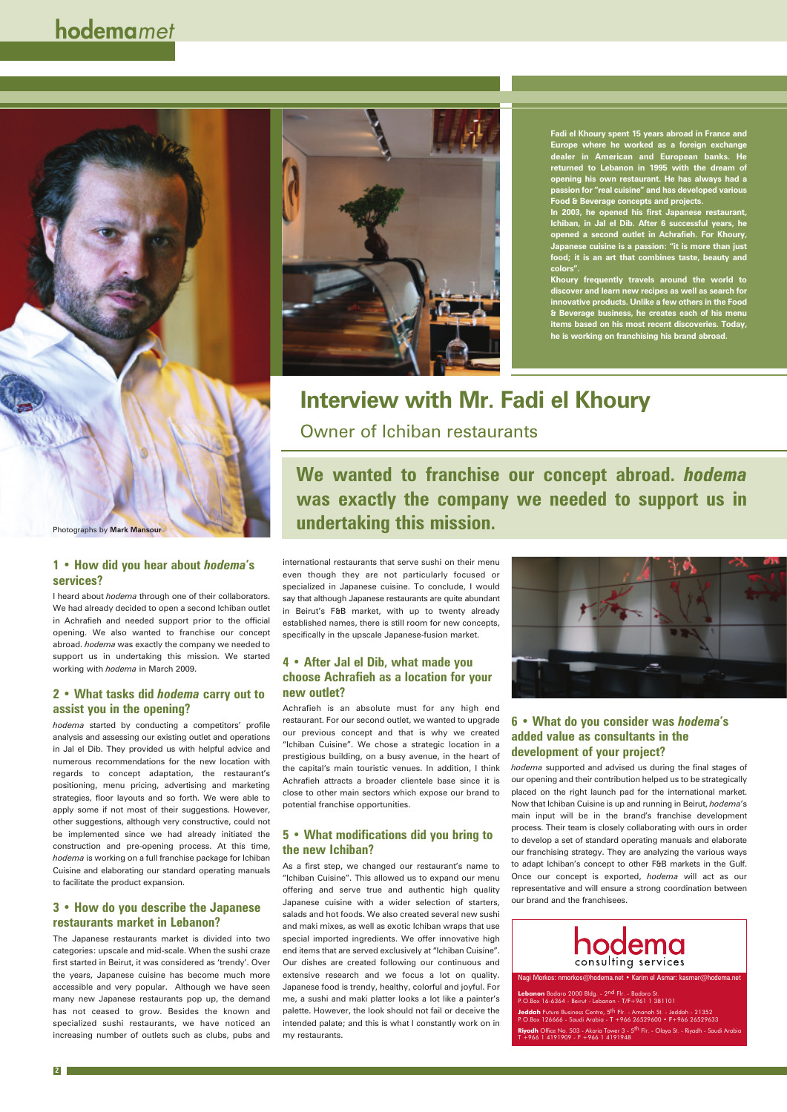## **Interview with Mr. Fadi el Khoury**

## Owner of Ichiban restaurants

#### **1 • How did you hear about** *hodema***'s services?**

I heard about *hodema* through one of their collaborators. We had already decided to open a second Ichiban outlet in Achrafieh and needed support prior to the official opening. We also wanted to franchise our concept abroad. *hodema* was exactly the company we needed to support us in undertaking this mission. We started working with *hodema* in March 2009.

#### **2 • What tasks did** *hodema* **carry out to assist you in the opening?**

*hodema* started by conducting a competitors' profile analysis and assessing our existing outlet and operations in Jal el Dib. They provided us with helpful advice and numerous recommendations for the new location with regards to concept adaptation, the restaurant's positioning, menu pricing, advertising and marketing strategies, floor layouts and so forth. We were able to apply some if not most of their suggestions. However, other suggestions, although very constructive, could not be implemented since we had already initiated the construction and pre-opening process. At this time, *hodema* is working on a full franchise package for Ichiban Cuisine and elaborating our standard operating manuals to facilitate the product expansion.



#### **3 • How do you describe the Japanese restaurants market in Lebanon?**

The Japanese restaurants market is divided into two categories: upscale and mid-scale. When the sushi craze first started in Beirut, it was considered as 'trendy'. Over the years, Japanese cuisine has become much more accessible and very popular. Although we have seen many new Japanese restaurants pop up, the demand has not ceased to grow. Besides the known and specialized sushi restaurants, we have noticed an increasing number of outlets such as clubs, pubs and

## **hodema***met*

**We wanted to franchise our concept abroad.** *hodema* **was exactly the company we needed to support us in undertaking this mission.**

**2**

international restaurants that serve sushi on their menu even though they are not particularly focused or specialized in Japanese cuisine. To conclude, I would say that although Japanese restaurants are quite abundant in Beirut's F&B market, with up to twenty already established names, there is still room for new concepts, specifically in the upscale Japanese-fusion market.

#### **4 • After Jal el Dib, what made you choose Achrafieh as a location for your new outlet?**

Achrafieh is an absolute must for any high end restaurant. For our second outlet, we wanted to upgrade our previous concept and that is why we created "Ichiban Cuisine". We chose a strategic location in a prestigious building, on a busy avenue, in the heart of the capital's main touristic venues. In addition, I think Achrafieh attracts a broader clientele base since it is close to other main sectors which expose our brand to potential franchise opportunities.

#### **5 • What modifications did you bring to**



### **the new Ichiban?**

As a first step, we changed our restaurant's name to "Ichiban Cuisine". This allowed us to expand our menu offering and serve true and authentic high quality Japanese cuisine with a wider selection of starters, salads and hot foods. We also created several new sushi and maki mixes, as well as exotic Ichiban wraps that use special imported ingredients. We offer innovative high end items that are served exclusively at "Ichiban Cuisine". Our dishes are created following our continuous and extensive research and we focus a lot on quality. Japanese food is trendy, healthy, colorful and joyful. For me, a sushi and maki platter looks a lot like a painter's palette. However, the look should not fail or deceive the intended palate; and this is what I constantly work on in my restaurants.





**Fadi el Khoury spent 15 years abroad in France and Europe where he worked as a foreign exchange dealer in American and European banks. He returned to Lebanon in 1995 with the dream of opening his own restaurant. He has always had a passion for "real cuisine" and has developed various Food & Beverage concepts and projects.** 

**In 2003, he opened his first Japanese restaurant, Ichiban, in Jal el Dib. After 6 successful years, he opened a second outlet in Achrafieh. For Khoury, Japanese cuisine is a passion: "it is more than just food; it is an art that combines taste, beauty and colors".** 

**Khoury frequently travels around the world to discover and learn new recipes as well as search for innovative products. Unlike a few others in the Food & Beverage business, he creates each of his menu items based on his most recent discoveries. Today, he is working on franchising his brand abroad.**

Nagi Morkos: nmorkos@hodema.net • Karim el Asmar: kasmar@hodema.net

**Lebanon** Badaro 2000 Bldg. - 2<sup>nd</sup> Flr. - Badaro St.<br>P.O.Box 16-6364 - Beirut - Lebanon - T/F+961 1 381101

**Jeddah** Future Business Centre, 5<sup>th</sup> Flr. - Amanah St. - Jeddah - 21352<br>P.O.Box 126666 - Saudi Arabia - T +966 26529600 • F+966 26529633

**Riyadh** Office No. 503 - Akaria Tower 3 - 5th Flr. - Olaya St. - Riyadh - Saudi Arabia T +966 1 4191909 - F +966 1 4191948

#### **6 • What do you consider was** *hodema***'s added value as consultants in the development of your project?**

*hodema* supported and advised us during the final stages of our opening and their contribution helped us to be strategically placed on the right launch pad for the international market. Now that Ichiban Cuisine is up and running in Beirut, *hodema*'s main input will be in the brand's franchise development process. Their team is closely collaborating with ours in order to develop a set of standard operating manuals and elaborate our franchising strategy. They are analyzing the various ways to adapt Ichiban's concept to other F&B markets in the Gulf. Once our concept is exported, *hodema* will act as our representative and will ensure a strong coordination between our brand and the franchisees.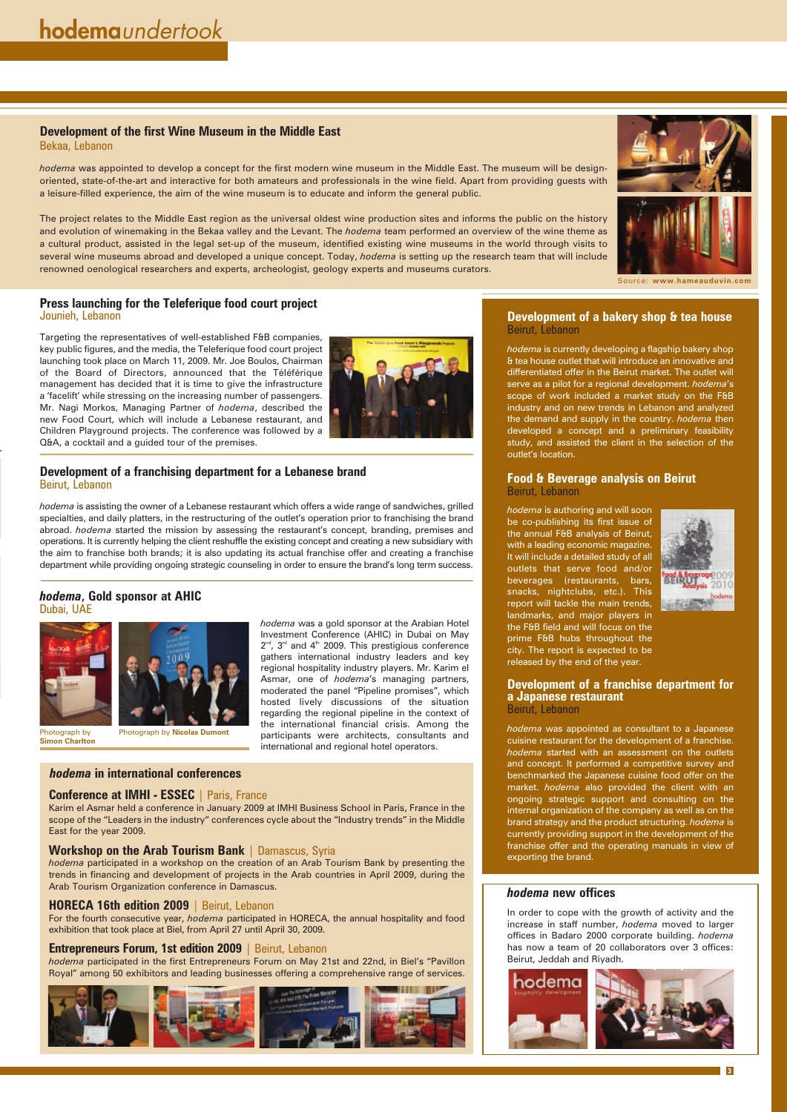#### **Development of a bakery shop & tea house** Beirut, Lebanon

*hodema* is currently developing a flagship bakery shop & tea house outlet that will introduce an innovative and differentiated offer in the Beirut market. The outlet will serve as a pilot for a regional development. *hodema*'s scope of work included a market study on the F&B industry and on new trends in Lebanon and analyzed the demand and supply in the country. *hodema* then developed a concept and a preliminary feasibility study, and assisted the client in the selection of the outlet's location.

#### **Food & Beverage analysis on Beirut** Beirut, Lebanon

*hodema* is authoring and will soon be co-publishing its first issue of the annual F&B analysis of Beirut, with a leading economic magazine. It will include a detailed study of all outlets that serve food and/or beverages (restaurants, bars, snacks, nightclubs, etc.). This report will tackle the main trends, landmarks, and major players in the F&B field and will focus on the prime F&B hubs throughout the city. The report is expected to be released by the end of the year.



**Development of a franchise department for a Japanese restaurant** Beirut, Lebanon

*hodema* was appointed as consultant to a Japanese cuisine restaurant for the development of a franchise. *hodema* started with an assessment on the outlets and concept. It performed a competitive survey and benchmarked the Japanese cuisine food offer on the market. *hodema* also provided the client with an ongoing strategic support and consulting on the internal organization of the company as well as on the brand strategy and the product structuring. *hodema* is currently providing support in the development of the

franchise offer and the operating manuals in view of exporting the brand.

#### **Press launching for the Teleferique food court project** Jounieh, Lebanon

Targeting the representatives of well-established F&B companies, key public figures, and the media, the Teleferique food court project launching took place on March 11, 2009. Mr. Joe Boulos, Chairman of the Board of Directors, announced that the Téléférique management has decided that it is time to give the infrastructure a 'facelift' while stressing on the increasing number of passengers. Mr. Nagi Morkos, Managing Partner of *hodema*, described the new Food Court, which will include a Lebanese restaurant, and Children Playground projects. The conference was followed by a Q&A, a cocktail and a guided tour of the premises.



#### **Development of the first Wine Museum in the Middle East** Bekaa, Lebanon

*hodema* was appointed to develop a concept for the first modern wine museum in the Middle East. The museum will be designoriented, state-of-the-art and interactive for both amateurs and professionals in the wine field. Apart from providing guests with a leisure-filled experience, the aim of the wine museum is to educate and inform the general public.

The project relates to the Middle East region as the universal oldest wine production sites and informs the public on the history and evolution of winemaking in the Bekaa valley and the Levant. The *hodema* team performed an overview of the wine theme as a cultural product, assisted in the legal set-up of the museum, identified existing wine museums in the world through visits to several wine museums abroad and developed a unique concept. Today, *hodema* is setting up the research team that will include renowned oenological researchers and experts, archeologist, geology experts and museums curators.



**3**

#### **Development of a franchising department for a Lebanese brand** Beirut, Lebanon

*hodema* is assisting the owner of a Lebanese restaurant which offers a wide range of sandwiches, grilled specialties, and daily platters, in the restructuring of the outlet's operation prior to franchising the brand abroad. *hodema* started the mission by assessing the restaurant's concept, branding, premises and operations. It is currently helping the client reshuffle the existing concept and creating a new subsidiary with the aim to franchise both brands; it is also updating its actual franchise offer and creating a franchise department while providing ongoing strategic counseling in order to ensure the brand's long term success.

> *hodema* was a gold sponsor at the Arabian Hotel Investment Conference (AHIC) in Dubai on May  $2^{nd}$ ,  $3^{rd}$  and  $4^{th}$  2009. This prestigious conference gathers international industry leaders and key regional hospitality industry players. Mr. Karim el Asmar, one of *hodema*'s managing partners, moderated the panel "Pipeline promises", which hosted lively discussions of the situation regarding the regional pipeline in the context of the international financial crisis. Among the participants were architects, consultants and international and regional hotel operators.

#### *hodema* **new offices**

In order to cope with the growth of activity and the increase in staff number, *hodema* moved to larger offices in Badaro 2000 corporate building. *hodema* has now a team of 20 collaborators over 3 offices: Beirut, Jeddah and Riyadh.



#### *hodema***, Gold sponsor at AHIC** Dubai, UAE





Karim el Asmar held a conference in January 2009 at IMHI Business School in Paris, France in the scope of the "Leaders in the industry" conferences cycle about the "Industry trends" in the Middle East for the year 2009.

#### **Workshop on the Arab Tourism Bank** | Damascus, Syria

*hodema* participated in a workshop on the creation of an Arab Tourism Bank by presenting the trends in financing and development of projects in the Arab countries in April 2009, during the Arab Tourism Organization conference in Damascus.

#### **HORECA 16th edition 2009** | Beirut, Lebanon

For the fourth consecutive year, *hodema* participated in HORECA, the annual hospitality and food exhibition that took place at Biel, from April 27 until April 30, 2009.

#### **Entrepreneurs Forum, 1st edition 2009** | Beirut, Lebanon

*hodema* participated in the first Entrepreneurs Forum on May 21st and 22nd, in Biel's "Pavillon Royal" among 50 exhibitors and leading businesses offering a comprehensive range of services.



#### *hodema* **in international conferences**

#### **Conference at IMHI - ESSEC** | Paris, France

Source: **www.hameauduvin.com**

Photograph by **Simon Charlton**

Photograph by **Nicolas Dumont**